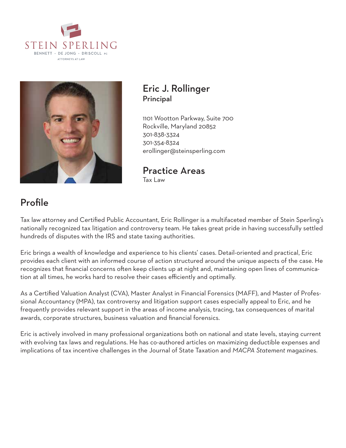



### Eric J. Rollinger Principal

1101 Wootton Parkway, Suite 700 Rockville, Maryland 20852 301-838-3324 301-354-8324 erollinger@steinsperling.com

Practice Areas Tax Law

# Profile

Tax law attorney and Certified Public Accountant, Eric Rollinger is a multifaceted member of Stein Sperling's nationally recognized tax litigation and controversy team. He takes great pride in having successfully settled hundreds of disputes with the IRS and state taxing authorities.

Eric brings a wealth of knowledge and experience to his clients' cases. Detail-oriented and practical, Eric provides each client with an informed course of action structured around the unique aspects of the case. He recognizes that financial concerns often keep clients up at night and, maintaining open lines of communication at all times, he works hard to resolve their cases efficiently and optimally.

As a Certified Valuation Analyst (CVA), Master Analyst in Financial Forensics (MAFF), and Master of Professional Accountancy (MPA), tax controversy and litigation support cases especially appeal to Eric, and he frequently provides relevant support in the areas of income analysis, tracing, tax consequences of marital awards, corporate structures, business valuation and financial forensics.

Eric is actively involved in many professional organizations both on national and state levels, staying current with evolving tax laws and regulations. He has co-authored articles on maximizing deductible expenses and implications of tax incentive challenges in the Journal of State Taxation and *MACPA Statement* magazines.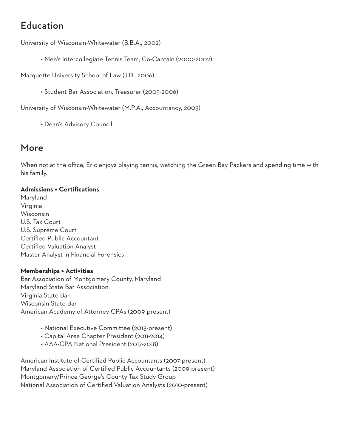## Education

University of Wisconsin-Whitewater (B.B.A., 2002)

• Men's Intercollegiate Tennis Team, Co-Captain (2000-2002)

Marquette University School of Law (J.D., 2006)

• Student Bar Association, Treasurer (2005-2006)

University of Wisconsin-Whitewater (M.P.A., Accountancy, 2003)

• Dean's Advisory Council

### More

When not at the office, Eric enjoys playing tennis, watching the Green Bay Packers and spending time with his family.

### **Admissions + Certifications**

Maryland Virginia Wisconsin U.S. Tax Court U.S. Supreme Court Certified Public Accountant Certified Valuation Analyst Master Analyst in Financial Forensics

#### **Memberships + Activities**

Bar Association of Montgomery County, Maryland Maryland State Bar Association Virginia State Bar Wisconsin State Bar American Academy of Attorney-CPAs (2009-present)

- National Executive Committee (2013-present)
- Capital Area Chapter President (2011-2014)
- AAA-CPA National President (2017-2018)

American Institute of Certified Public Accountants (2007-present) Maryland Association of Certified Public Accountants (2009-present) Montgomery/Prince George's County Tax Study Group National Association of Certified Valuation Analysts (2010-present)